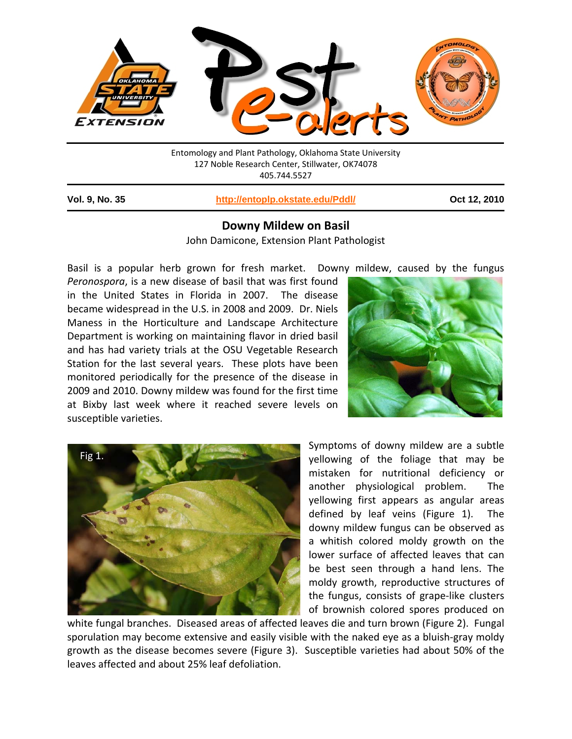

Entomology and Plant Pathology, Oklahoma State University 127 Noble Research Center, Stillwater, OK74078 405.744.5527

1

**Vol. 9, No. 35 http://entoplp.okstate.edu/Pddl/ Oct 12, 2010**

## **Downy Mildew on Basil**

John Damicone, Extension Plant Pathologist

Basil is a popular herb grown for fresh market. Downy mildew, caused by the fungus *Peronospora*, is a new disease of basil that was first found in the United States in Florida in 2007. The disease became widespread in the U.S. in 2008 and 2009. Dr. Niels Maness in the Horticulture and Landscape Architecture Department is working on maintaining flavor in dried basil and has had variety trials at the OSU Vegetable Research Station for the last several years. These plots have been monitored periodically for the presence of the disease in 2009 and 2010. Downy mildew was found for the first time at Bixby last week where it reached severe levels on susceptible varieties.





Symptoms of downy mildew are a subtle yellowing of the foliage that may be mistaken for nutritional deficiency or another physiological problem. The yellowing first appears as angular areas defined by leaf veins (Figure 1). The downy mildew fungus can be observed as a whitish colored moldy growth on the lower surface of affected leaves that can be best seen through a hand lens. The moldy growth, reproductive structures of the fungus, consists of grape‐like clusters of brownish colored spores produced on

white fungal branches. Diseased areas of affected leaves die and turn brown (Figure 2). Fungal sporulation may become extensive and easily visible with the naked eye as a bluish-gray moldy growth as the disease becomes severe (Figure 3). Susceptible varieties had about 50% of the leaves affected and about 25% leaf defoliation.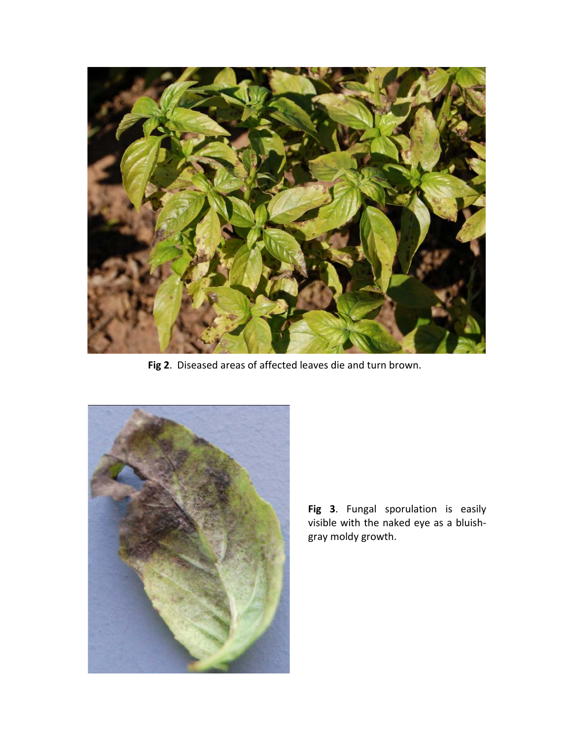

**Fig 2**. Diseased areas of affected leaves die and turn brown.



**Fig 3**. Fungal sporulation is easily visible with the naked eye as a bluish‐ gray moldy growth.